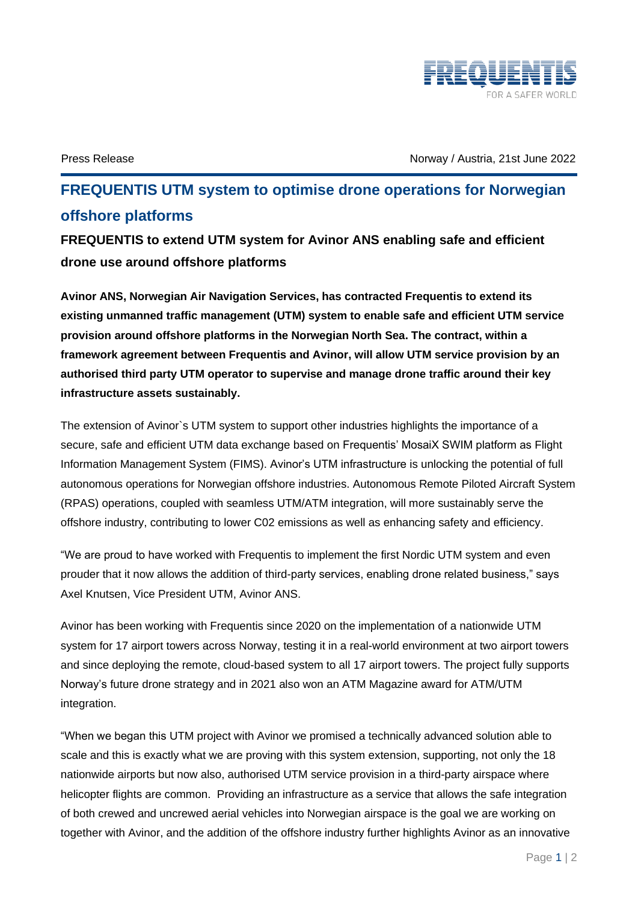

Press Release Norway / Austria, 21st June 2022

## **FREQUENTIS UTM system to optimise drone operations for Norwegian offshore platforms**

**FREQUENTIS to extend UTM system for Avinor ANS enabling safe and efficient drone use around offshore platforms**

**Avinor ANS, Norwegian Air Navigation Services, has contracted Frequentis to extend its existing unmanned traffic management (UTM) system to enable safe and efficient UTM service provision around offshore platforms in the Norwegian North Sea. The contract, within a framework agreement between Frequentis and Avinor, will allow UTM service provision by an authorised third party UTM operator to supervise and manage drone traffic around their key infrastructure assets sustainably.**

The extension of Avinor`s UTM system to support other industries highlights the importance of a secure, safe and efficient UTM data exchange based on Frequentis' MosaiX SWIM platform as Flight Information Management System (FIMS). Avinor's UTM infrastructure is unlocking the potential of full autonomous operations for Norwegian offshore industries. Autonomous Remote Piloted Aircraft System (RPAS) operations, coupled with seamless UTM/ATM integration, will more sustainably serve the offshore industry, contributing to lower C02 emissions as well as enhancing safety and efficiency.

"We are proud to have worked with Frequentis to implement the first Nordic UTM system and even prouder that it now allows the addition of third-party services, enabling drone related business," says Axel Knutsen, Vice President UTM, Avinor ANS.

Avinor has been working with Frequentis since 2020 on the implementation of a nationwide UTM system for 17 airport towers across Norway, testing it in a real-world environment at two airport towers and since deploying the remote, cloud-based system to all 17 airport towers. The project fully supports Norway's future drone strategy and in 2021 also won an ATM Magazine award for ATM/UTM integration.

"When we began this UTM project with Avinor we promised a technically advanced solution able to scale and this is exactly what we are proving with this system extension, supporting, not only the 18 nationwide airports but now also, authorised UTM service provision in a third-party airspace where helicopter flights are common. Providing an infrastructure as a service that allows the safe integration of both crewed and uncrewed aerial vehicles into Norwegian airspace is the goal we are working on together with Avinor, and the addition of the offshore industry further highlights Avinor as an innovative